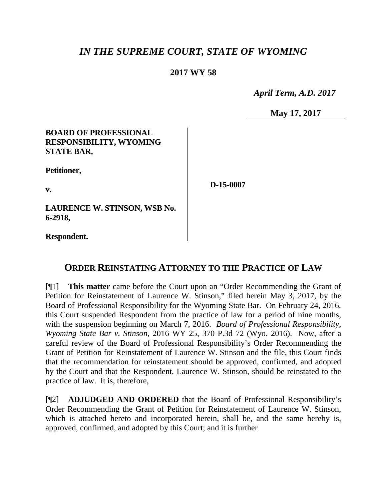# *IN THE SUPREME COURT, STATE OF WYOMING*

## **2017 WY 58**

 *April Term, A.D. 2017*

**May 17, 2017**

#### **BOARD OF PROFESSIONAL RESPONSIBILITY, WYOMING STATE BAR,**

**Petitioner,**

**v.**

**D-15-0007**

**LAURENCE W. STINSON, WSB No. 6-2918,**

**Respondent.**

### **ORDER REINSTATING ATTORNEY TO THE PRACTICE OF LAW**

[¶1] **This matter** came before the Court upon an "Order Recommending the Grant of Petition for Reinstatement of Laurence W. Stinson," filed herein May 3, 2017, by the Board of Professional Responsibility for the Wyoming State Bar. On February 24, 2016, this Court suspended Respondent from the practice of law for a period of nine months, with the suspension beginning on March 7, 2016. *Board of Professional Responsibility, Wyoming State Bar v. Stinson*, 2016 WY 25, 370 P.3d 72 (Wyo. 2016). Now, after a careful review of the Board of Professional Responsibility's Order Recommending the Grant of Petition for Reinstatement of Laurence W. Stinson and the file, this Court finds that the recommendation for reinstatement should be approved, confirmed, and adopted by the Court and that the Respondent, Laurence W. Stinson, should be reinstated to the practice of law. It is, therefore,

[¶2] **ADJUDGED AND ORDERED** that the Board of Professional Responsibility's Order Recommending the Grant of Petition for Reinstatement of Laurence W. Stinson, which is attached hereto and incorporated herein, shall be, and the same hereby is, approved, confirmed, and adopted by this Court; and it is further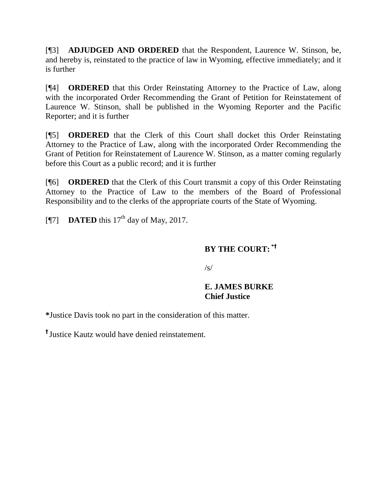[¶3] **ADJUDGED AND ORDERED** that the Respondent, Laurence W. Stinson, be, and hereby is, reinstated to the practice of law in Wyoming, effective immediately; and it is further

[¶4] **ORDERED** that this Order Reinstating Attorney to the Practice of Law, along with the incorporated Order Recommending the Grant of Petition for Reinstatement of Laurence W. Stinson, shall be published in the Wyoming Reporter and the Pacific Reporter; and it is further

[¶5] **ORDERED** that the Clerk of this Court shall docket this Order Reinstating Attorney to the Practice of Law, along with the incorporated Order Recommending the Grant of Petition for Reinstatement of Laurence W. Stinson, as a matter coming regularly before this Court as a public record; and it is further

[¶6] **ORDERED** that the Clerk of this Court transmit a copy of this Order Reinstating Attorney to the Practice of Law to the members of the Board of Professional Responsibility and to the clerks of the appropriate courts of the State of Wyoming.

[ $\textsf{N}$ 7] **DATED** this 17<sup>th</sup> day of May, 2017.

### **BY THE COURT: \*†**

/s/

### **E. JAMES BURKE Chief Justice**

**\***Justice Davis took no part in the consideration of this matter.

**†** Justice Kautz would have denied reinstatement.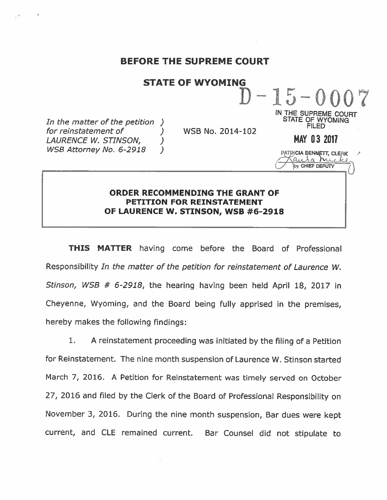#### BEFORE THE SUPREME COURT

#### STATE OF WYOMING

 $\mathcal{L}$ 

In the matter of the petition ) for reinstatement of LAURENCE W. STINSON, (1) WSB Attorney No. 6-2918 )

WSB No. 2014-102

FILED MAY 0 3 2017

IN THE SUPREME COURT STATE OF WYOMING

 $-1.5 - 0$ 

PATRICIA BENNETT, CLERK auta rue by CHIEF DEPUTY

#### ORDER RECOMMENDING THE GRANT OF PETITION FOR REINSTATEMENT OF LAURENCE W. STINSON, WSB #6-2918

THIS MATTER having come before the Board of Professional Responsibility In the matter of the petition for reinstatement of Laurence W. Stinson, WSB # 6-2918, the hearing having been held April 18, 2017 in Cheyenne, Wyoming, and the Board being fully apprised in the premises, hereby makes the following findings:

1. A reinstatement proceeding was initiated by the filing of a Petition for Reinstatement. The nine month suspension of Laurence W. Stinson started March 7, 2016. A Petition for Reinstatement was timely served on October 27, 2016 and filed by the Clerk of the Board of Professional Responsibility on November 3, 2016. During the nine month suspension, Bar dues were kept current, and CLE remained current. Bar Counsel did not stipulate to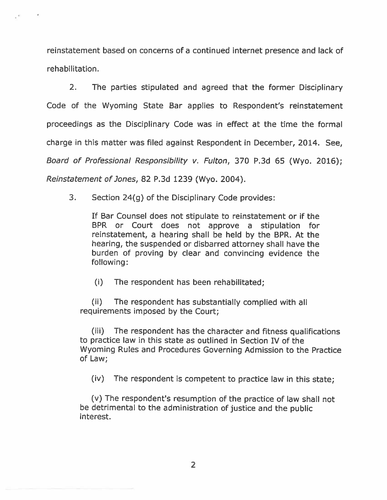reinstatement based on concerns of a continued internet presence and lack of rehabilitation.

2. The parties stipulated and agreed that the former Disciplinary Code of the Wyoming State Bar applies to Respondent's reinstatement proceedings as the Disciplinary Code was in effect at the time the formal charge in this matter was filed against Respondent in December, 2014. See, Board of Professional Responsibility v. Fulton, 370 P.3d 65 (Wyo. 2016); Reinstatement of Jones, 82 P.3d 1239 (Wyo. 2004).

3. Section 24(g) of the Disciplinary Code provides:

If Bar Counsel does not stipulate to reinstatement or if the BPR or Court does not approve a stipulation for reinstatement, a hearing shall be held by the BPR. At the hearing, the suspended or disbarred attorney shall have the burden of proving by clear and convincing evidence the following:

(i) The respondent has been rehabilitated;

(ii) The respondent has substantially complied with all requirements imposed by the Court;

(iii) The respondent has the character and fitness qualifications to practice law in this state as outlined in Section IV of the Wyoming Rules and Procedures Governing Admission to the Practice of Law;

(iv) The respondent is competent to practice law in this state;

(v) The respondent's resumption of the practice of law shall not be detrimental to the administration of justice and the public interest.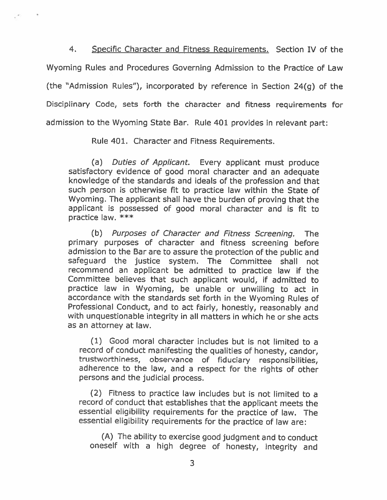4. Specific Character and Fitness Requirements. Section IV of the Wyoming Rules and Procedures Governing Admission to the Practice of Law (the "Admission Rules"), incorporated by reference in Section 24(g) of the Disciplinary Code, sets forth the character and fitness requirements for admission to the Wyoming State Bar. Rule 401 provides in relevant part:

Rule 401. Character and Fitness Requirements.

(a) Duties of Applicant. Every applicant must produce satisfactory evidence of good moral character and an adequate knowledge of the standards and ideals of the profession and that such person is otherwise fit to practice law within the State of Wyoming. The applicant shall have the burden of proving that the applicant is possessed of good moral character and is fit to practice law. \*\*\*

(b) Purposes of Character and Fitness Screening. The primary purposes of character and fitness screening before admission to the Bar are to assure the protection of the public and safeguard the justice system. The Committee shall not recommend an applicant be admitted to practice law if the Committee believes that such applicant would, if admitted to practice law in Wyoming, be unable or unwilling to act in accordance with the standards set forth in the Wyoming Rules of Professional Conduct, and to act fairly, honestly, reasonably and with unquestionable integrity in all matters in which he or she acts as an attorney at law.

(1) Good moral character includes but is not limited to a record of conduct manifesting the qualities of honesty, candor, trustworthiness, observance of fiduciary responsibilities, adherence to the law, and a respect for the rights of other persons and the judicial process.

(2) Fitness to practice law includes but is not limited to a record of conduct that establishes that the applicant meets the essential eligibility requirements for the practice of law. The essential eligibility requirements for the practice of law are:

(A) The ability to exercise good judgment and to conduct oneself with a high degree of honesty, integrity and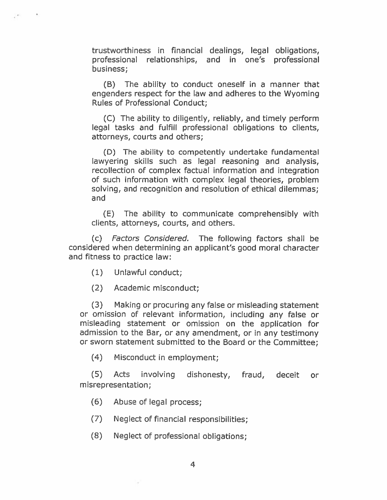trustworthiness in financiai dealings, legal obligations, professional relationships, and in one's professional business;

(B) The ability to conduct oneself in a manner that engenders respect for the law and adheres to the Wyoming Rules of Professional Conduct;

(C) The ability to diligently, reliably, and timely perform legal tasks and fulfill professional obligations to clients, attorneys, courts and others;

(D) The ability to competently undertake fundamental lawyering skills such as legal reasoning and analysis, recollection of complex factual information and integration of such information with complex legal theories, problem solving, and recognition and resolution of ethical dilemmas; and

(E) The ability to communicate comprehensibly with clients, attorneys, courts, and others.

(c) Factors Considered. The following factors shall be considered when determining an applicant's good moral character and fitness to practice law:

- (1) Unlawful conduct;
- (2) Academic misconduct;

(3) Making or procuring any false or misleading statement or omission of relevant information, including any false or misleading statement or omission on the application for admission to the Bar, or any amendment, or in any testimony or sworn statement submitted to the Board or the Committee;

(4) Misconduct in employment;

(5) Acts involving dishonesty, fraud, deceit or misrepresentation;

(6) Abuse of !egal process;

- (7) Neglect of financial responsibilities;
- (8) Neglect of professional obligations;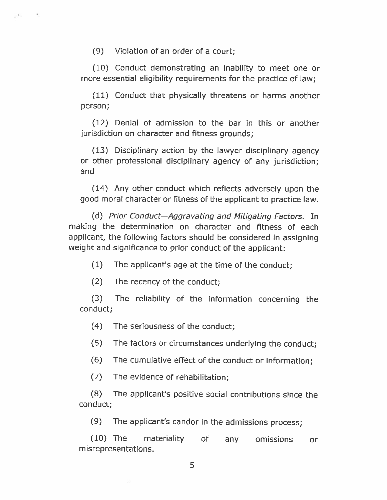(9) Violation of an order of a court;

(10) Conduct demonstrating an inability to meet one or more essential eligibility requirements for the practice of law;

(11) Conduct that physically threatens or harms another person;

(12) Denial of admission to the bar in this or another jurisdiction on character and fitness grounds;

(13) Disciplinary action by the lawyer disciplinary agency or other professional disciplinary agency of any jurisdiction; and

(14) Any other conduct which reflects adversely upon the good moral character or fitness of the applicant to practice law.

(d) Prior Conduct—Aggravating and Mitigating Factors. In making the determination on character and fitness of each applicant, the following factors should be considered in assigning weight and significance to prior conduct of the applicant:

(1) The applicant's age at the time of the conduct;

(2) The recency of the conduct;

(3) The reliability of the information concerning the conduct;

(4) The seriousness of the conduct;

(5) The factors or circumstances underlying the conduct;

(6) The cumulative effect of the conduct or information;

(7) The evidence of rehabilitation;

(8) The applicant's positive social contributions since the conduct;

(9) The applicant's candor in the admissions process;

(10) The materiality of any omissions or misrepresentations.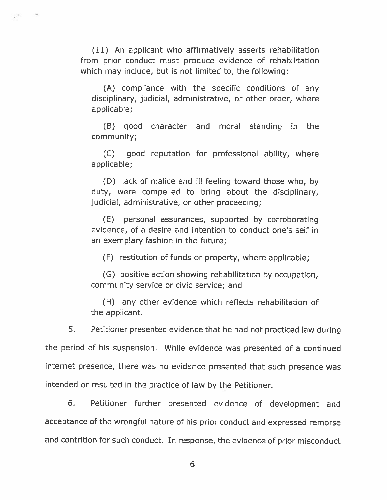(11) An applicant who affirmatively asserts rehabilitation from prior conduct must produce evidence of rehabilitation which may include, but is not limited to, the following:

(A) compliance with the specific conditions of any disciplinary, judicial, administrative, or other order, where applicable;

(B) good character and moral standing in the community;

(C) good reputation for professional ability, where applicable;

(D) lack of malice and ill feeling toward those who, by duty, were compelled to bring about the disciplinary, judicial, administrative, or other proceeding;

(E) personal assurances, supported by corroborating evidence, of a desire and intention to conduct one's self in an exemplary fashion in the future;

(F) restitution of funds or property, where applicable;

(G) positive action showing rehabilitation by occupation, community service or civic service; and

(H) any other evidence which reflects rehabilitation of the applicant.

5. Petitioner presented evidence that he had not practiced law during

the period of his suspension. While evidence was presented of a continued

internet presence, there was no evidence presented that such presence was intended or resulted in the practice of law by the Petitioner.

6. Petitioner further presented evidence of development and acceptance of the wrongful nature of his prior conduct and expressed remorse and contrition for such conduct. In response, the evidence of prior misconduct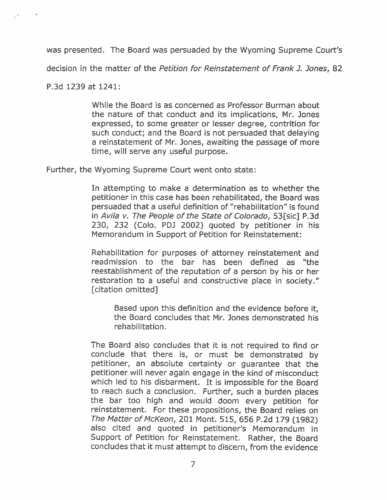was presented. The Board was persuaded by the Wyoming Supreme Court's

decision in the matter of the Petition for Reinstatement of Frank J. Jones, 82

P.3d 1239 at 1241:

While the Board is as concerned as Professor Burman about the nature of that conduct and its implications, Mr. Jones expressed, to some greater or lesser degree, contrition for such conduct; and the Board is not persuaded that delaying a reinstatement of Mr. Jones, awaiting the passage of more time, will serve any useful purpose.

Further, the Wyoming Supreme Court went onto state:

In attempting to make a determination as to whether the petitioner in this case has been rehabilitated, the Board was persuaded that a useful definition of "rehabilitation" is found in Avila v. The People of the State of Colorado, 53[sic] P.3d 230, 232 (Colo. PDJ 2002) quoted by petitioner in his Memorandum in Support of Petition for Reinstatement:

Rehabilitation for purposes of attorney reinstatement and readmission to the bar has been defined as "the reestablishment of the reputation of a person by his or her restoration to a useful and constructive place in society." [citation omitted]

Based upon this definition and the evidence before it, the Board concludes that Mr. Jones demonstrated his rehabilitation.

The Board also concludes that it is not required to find or conclude that there is, or must be demonstrated by petitioner, an absolute certainty or guarantee that the petitioner will never again engage in the kind of misconduct which led to his disbarment. It is impossible for the Board to reach such a conclusion. Further, such a burden places the bar too high and would doom every petition for reinstatement. For these propositions, the Board relies on The Matter of McKeon, 201 Mont. 515, 656 P.2d 179 (1982) also cited and quoted in petitioner's Memorandum in Support of Petition for Reinstatement. Rather, the Board concludes that it must attempt to discern, from the evidence